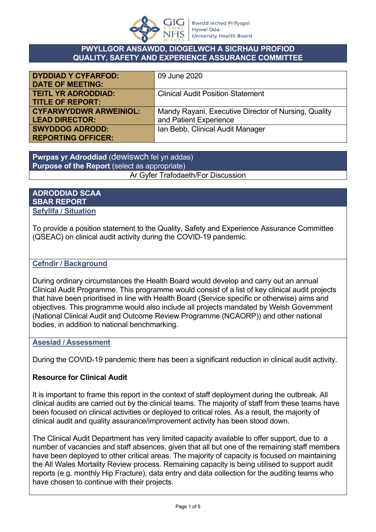

#### **PWYLLGOR ANSAWDD, DIOGELWCH A SICRHAU PROFIOD QUALITY, SAFETY AND EXPERIENCE ASSURANCE COMMITTEE**

| <b>DYDDIAD Y CYFARFOD:</b>    | 09 June 2020                                         |
|-------------------------------|------------------------------------------------------|
| <b>DATE OF MEETING:</b>       |                                                      |
| <b>TEITL YR ADRODDIAD:</b>    | <b>Clinical Audit Position Statement</b>             |
| <b>TITLE OF REPORT:</b>       |                                                      |
| <b>CYFARWYDDWR ARWEINIOL:</b> | Mandy Rayani, Executive Director of Nursing, Quality |
| <b>LEAD DIRECTOR:</b>         | and Patient Experience                               |
| <b>SWYDDOG ADRODD:</b>        | Ian Bebb, Clinical Audit Manager                     |
| <b>REPORTING OFFICER:</b>     |                                                      |

**Pwrpas yr Adroddiad** (dewiswch fel yn addas) **Purpose of the Report** (select as appropriate) Ar Gyfer Trafodaeth/For Discussion

#### **ADRODDIAD SCAA SBAR REPORT Sefyllfa / Situation**

To provide a position statement to the Quality, Safety and Experience Assurance Committee (QSEAC) on clinical audit activity during the COVID-19 pandemic.

### **Cefndir / Background**

During ordinary circumstances the Health Board would develop and carry out an annual Clinical Audit Programme. This programme would consist of a list of key clinical audit projects that have been prioritised in line with Health Board (Service specific or otherwise) aims and objectives. This programme would also include all projects mandated by Welsh Government (National Clinical Audit and Outcome Review Programme (NCAORP)) and other national bodies, in addition to national benchmarking.

### **Asesiad / Assessment**

During the COVID-19 pandemic there has been a significant reduction in clinical audit activity.

### **Resource for Clinical Audit**

It is important to frame this report in the context of staff deployment during the outbreak. All clinical audits are carried out by the clinical teams. The majority of staff from these teams have been focused on clinical activities or deployed to critical roles. As a result, the majority of clinical audit and quality assurance/improvement activity has been stood down.

The Clinical Audit Department has very limited capacity available to offer support, due to a number of vacancies and staff absences, given that all but one of the remaining staff members have been deployed to other critical areas. The majority of capacity is focused on maintaining the All Wales Mortality Review process. Remaining capacity is being utilised to support audit reports (e.g. monthly Hip Fracture), data entry and data collection for the auditing teams who have chosen to continue with their projects.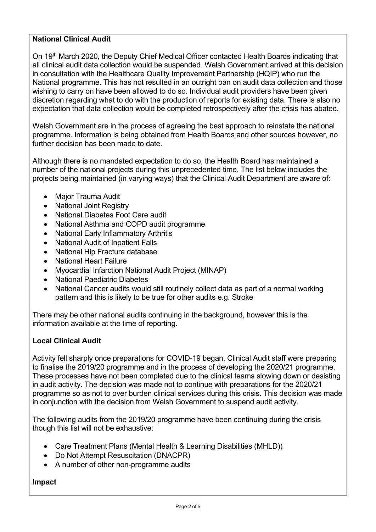## **National Clinical Audit**

On 19<sup>th</sup> March 2020, the Deputy Chief Medical Officer contacted Health Boards indicating that all clinical audit data collection would be suspended. Welsh Government arrived at this decision in consultation with the Healthcare Quality Improvement Partnership (HQIP) who run the National programme. This has not resulted in an outright ban on audit data collection and those wishing to carry on have been allowed to do so. Individual audit providers have been given discretion regarding what to do with the production of reports for existing data. There is also no expectation that data collection would be completed retrospectively after the crisis has abated.

Welsh Government are in the process of agreeing the best approach to reinstate the national programme. Information is being obtained from Health Boards and other sources however, no further decision has been made to date.

Although there is no mandated expectation to do so, the Health Board has maintained a number of the national projects during this unprecedented time. The list below includes the projects being maintained (in varying ways) that the Clinical Audit Department are aware of:

- Major Trauma Audit
- National Joint Registry
- National Diabetes Foot Care audit
- National Asthma and COPD audit programme
- National Early Inflammatory Arthritis
- National Audit of Inpatient Falls
- National Hip Fracture database
- National Heart Failure
- Myocardial Infarction National Audit Project (MINAP)
- National Paediatric Diabetes
- National Cancer audits would still routinely collect data as part of a normal working pattern and this is likely to be true for other audits e.g. Stroke

There may be other national audits continuing in the background, however this is the information available at the time of reporting.

### **Local Clinical Audit**

Activity fell sharply once preparations for COVID-19 began. Clinical Audit staff were preparing to finalise the 2019/20 programme and in the process of developing the 2020/21 programme. These processes have not been completed due to the clinical teams slowing down or desisting in audit activity. The decision was made not to continue with preparations for the 2020/21 programme so as not to over burden clinical services during this crisis. This decision was made in conjunction with the decision from Welsh Government to suspend audit activity.

The following audits from the 2019/20 programme have been continuing during the crisis though this list will not be exhaustive:

- Care Treatment Plans (Mental Health & Learning Disabilities (MHLD))
- Do Not Attempt Resuscitation (DNACPR)
- A number of other non-programme audits

### **Impact**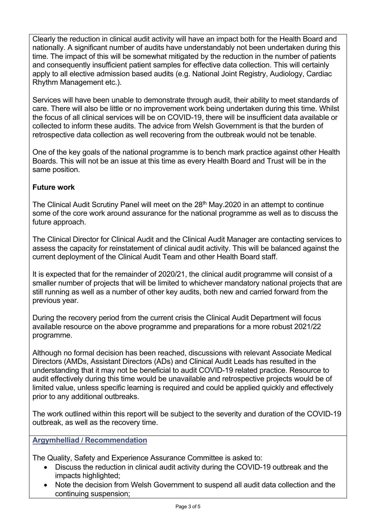Clearly the reduction in clinical audit activity will have an impact both for the Health Board and nationally. A significant number of audits have understandably not been undertaken during this time. The impact of this will be somewhat mitigated by the reduction in the number of patients and consequently insufficient patient samples for effective data collection. This will certainly apply to all elective admission based audits (e.g. National Joint Registry, Audiology, Cardiac Rhythm Management etc.).

Services will have been unable to demonstrate through audit, their ability to meet standards of care. There will also be little or no improvement work being undertaken during this time. Whilst the focus of all clinical services will be on COVID-19, there will be insufficient data available or collected to inform these audits. The advice from Welsh Government is that the burden of retrospective data collection as well recovering from the outbreak would not be tenable.

One of the key goals of the national programme is to bench mark practice against other Health Boards. This will not be an issue at this time as every Health Board and Trust will be in the same position.

# **Future work**

The Clinical Audit Scrutiny Panel will meet on the 28<sup>th</sup> May.2020 in an attempt to continue some of the core work around assurance for the national programme as well as to discuss the future approach.

The Clinical Director for Clinical Audit and the Clinical Audit Manager are contacting services to assess the capacity for reinstatement of clinical audit activity. This will be balanced against the current deployment of the Clinical Audit Team and other Health Board staff.

It is expected that for the remainder of 2020/21, the clinical audit programme will consist of a smaller number of projects that will be limited to whichever mandatory national projects that are still running as well as a number of other key audits, both new and carried forward from the previous year.

During the recovery period from the current crisis the Clinical Audit Department will focus available resource on the above programme and preparations for a more robust 2021/22 programme.

Although no formal decision has been reached, discussions with relevant Associate Medical Directors (AMDs, Assistant Directors (ADs) and Clinical Audit Leads has resulted in the understanding that it may not be beneficial to audit COVID-19 related practice. Resource to audit effectively during this time would be unavailable and retrospective projects would be of limited value, unless specific learning is required and could be applied quickly and effectively prior to any additional outbreaks.

The work outlined within this report will be subject to the severity and duration of the COVID-19 outbreak, as well as the recovery time.

## **Argymhelliad / Recommendation**

The Quality, Safety and Experience Assurance Committee is asked to:

- Discuss the reduction in clinical audit activity during the COVID-19 outbreak and the impacts highlighted;
- Note the decision from Welsh Government to suspend all audit data collection and the continuing suspension;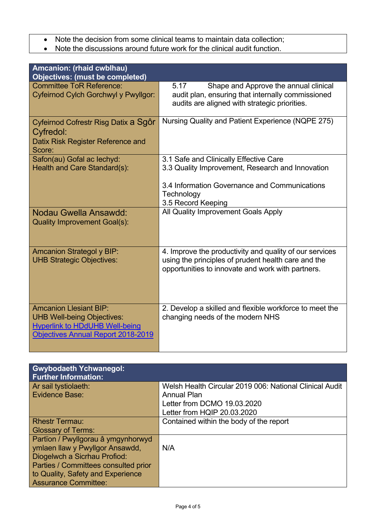- Note the decision from some clinical teams to maintain data collection;<br>• Note the discussions around future work for the clinical audit function.
- Note the discussions around future work for the clinical audit function.

| Amcanion: (rhaid cwblhau)<br><b>Objectives: (must be completed)</b>                                                                                      |                                                                                                                                                                                 |  |
|----------------------------------------------------------------------------------------------------------------------------------------------------------|---------------------------------------------------------------------------------------------------------------------------------------------------------------------------------|--|
| <b>Committee ToR Reference:</b><br>Cyfeirnod Cylch Gorchwyl y Pwyllgor:                                                                                  | 5.17<br>Shape and Approve the annual clinical<br>audit plan, ensuring that internally commissioned<br>audits are aligned with strategic priorities.                             |  |
| Cyfeirnod Cofrestr Risg Datix a Sgôr<br>Cyfredol:<br>Datix Risk Register Reference and<br>Score:                                                         | Nursing Quality and Patient Experience (NQPE 275)                                                                                                                               |  |
| Safon(au) Gofal ac lechyd:<br>Health and Care Standard(s):                                                                                               | 3.1 Safe and Clinically Effective Care<br>3.3 Quality Improvement, Research and Innovation<br>3.4 Information Governance and Communications<br>Technology<br>3.5 Record Keeping |  |
| Nodau Gwella Ansawdd:<br><b>Quality Improvement Goal(s):</b>                                                                                             | All Quality Improvement Goals Apply                                                                                                                                             |  |
| <b>Amcanion Strategol y BIP:</b><br><b>UHB Strategic Objectives:</b>                                                                                     | 4. Improve the productivity and quality of our services<br>using the principles of prudent health care and the<br>opportunities to innovate and work with partners.             |  |
| <b>Amcanion Llesiant BIP:</b><br><b>UHB Well-being Objectives:</b><br><b>Hyperlink to HDdUHB Well-being</b><br><b>Objectives Annual Report 2018-2019</b> | 2. Develop a skilled and flexible workforce to meet the<br>changing needs of the modern NHS                                                                                     |  |

| <b>Gwybodaeth Ychwanegol:</b>        |                                                         |
|--------------------------------------|---------------------------------------------------------|
| <b>Further Information:</b>          |                                                         |
| Ar sail tystiolaeth:                 | Welsh Health Circular 2019 006: National Clinical Audit |
| Evidence Base:                       | <b>Annual Plan</b>                                      |
|                                      |                                                         |
|                                      | Letter from DCMO 19.03.2020                             |
|                                      | Letter from HQIP 20.03.2020                             |
|                                      |                                                         |
| <b>Rhestr Termau:</b>                | Contained within the body of the report                 |
| <b>Glossary of Terms:</b>            |                                                         |
| Partïon / Pwyllgorau â ymgynhorwyd   |                                                         |
| ymlaen llaw y Pwyllgor Ansawdd,      | N/A                                                     |
| Diogelwch a Sicrhau Profiod:         |                                                         |
| Parties / Committees consulted prior |                                                         |
| to Quality, Safety and Experience    |                                                         |
| <b>Assurance Committee:</b>          |                                                         |